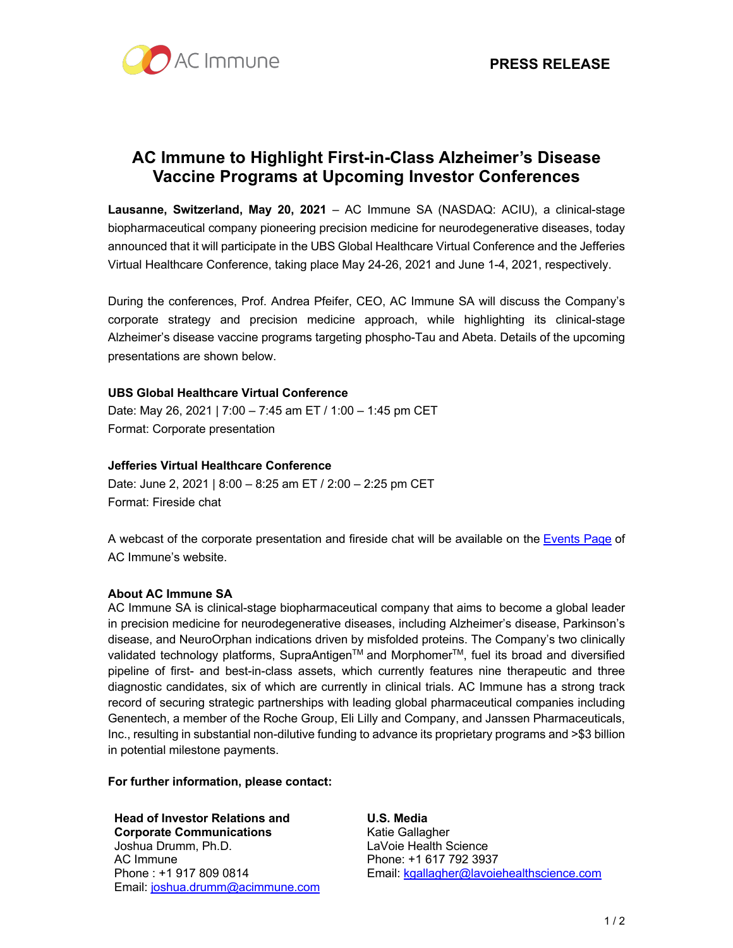

# **AC Immune to Highlight First-in-Class Alzheimer's Disease Vaccine Programs at Upcoming Investor Conferences**

**Lausanne, Switzerland, May 20, 2021** – AC Immune SA (NASDAQ: ACIU), a clinical-stage biopharmaceutical company pioneering precision medicine for neurodegenerative diseases, today announced that it will participate in the UBS Global Healthcare Virtual Conference and the Jefferies Virtual Healthcare Conference, taking place May 24-26, 2021 and June 1-4, 2021, respectively.

During the conferences, Prof. Andrea Pfeifer, CEO, AC Immune SA will discuss the Company's corporate strategy and precision medicine approach, while highlighting its clinical-stage Alzheimer's disease vaccine programs targeting phospho-Tau and Abeta. Details of the upcoming presentations are shown below.

# **UBS Global Healthcare Virtual Conference**

Date: May 26, 2021 | 7:00 – 7:45 am ET / 1:00 – 1:45 pm CET Format: Corporate presentation

## **Jefferies Virtual Healthcare Conference**

Date: June 2, 2021 | 8:00 – 8:25 am ET / 2:00 – 2:25 pm CET Format: Fireside chat

A webcast of the corporate presentation and fireside chat will be available on the Events Page of AC Immune's website.

# **About AC Immune SA**

AC Immune SA is clinical-stage biopharmaceutical company that aims to become a global leader in precision medicine for neurodegenerative diseases, including Alzheimer's disease, Parkinson's disease, and NeuroOrphan indications driven by misfolded proteins. The Company's two clinically validated technology platforms, SupraAntigen™ and Morphomer<sup>™</sup>, fuel its broad and diversified pipeline of first- and best-in-class assets, which currently features nine therapeutic and three diagnostic candidates, six of which are currently in clinical trials. AC Immune has a strong track record of securing strategic partnerships with leading global pharmaceutical companies including Genentech, a member of the Roche Group, Eli Lilly and Company, and Janssen Pharmaceuticals, Inc., resulting in substantial non-dilutive funding to advance its proprietary programs and >\$3 billion in potential milestone payments.

## **For further information, please contact:**

**Head of Investor Relations and Corporate Communications** Joshua Drumm, Ph.D. AC Immune Phone : +1 917 809 0814 Email: joshua.drumm@acimmune.com **U.S. Media** Katie Gallagher LaVoie Health Science Phone: +1 617 792 3937 Email: kgallagher@lavoiehealthscience.com